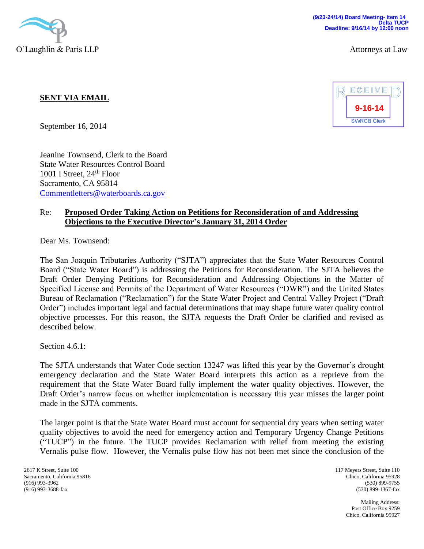

## **SENT VIA EMAIL**

September 16, 2014

Jeanine Townsend, Clerk to the Board State Water Resources Control Board 1001 I Street,  $24<sup>th</sup>$  Floor Sacramento, CA 95814 [Commentletters@waterboards.ca.gov](mailto:Commentletters@waterboards.ca.gov)

## Re: **Proposed Order Taking Action on Petitions for Reconsideration of and Addressing Objections to the Executive Director's January 31, 2014 Order**

Dear Ms. Townsend:

The San Joaquin Tributaries Authority ("SJTA") appreciates that the State Water Resources Control Board ("State Water Board") is addressing the Petitions for Reconsideration. The SJTA believes the Draft Order Denying Petitions for Reconsideration and Addressing Objections in the Matter of Specified License and Permits of the Department of Water Resources ("DWR") and the United States Bureau of Reclamation ("Reclamation") for the State Water Project and Central Valley Project ("Draft Order") includes important legal and factual determinations that may shape future water quality control objective processes. For this reason, the SJTA requests the Draft Order be clarified and revised as described below.

Section 4.6.1:

The SJTA understands that Water Code section 13247 was lifted this year by the Governor's drought emergency declaration and the State Water Board interprets this action as a reprieve from the requirement that the State Water Board fully implement the water quality objectives. However, the Draft Order's narrow focus on whether implementation is necessary this year misses the larger point made in the SJTA comments.

The larger point is that the State Water Board must account for sequential dry years when setting water quality objectives to avoid the need for emergency action and Temporary Urgency Change Petitions ("TUCP") in the future. The TUCP provides Reclamation with relief from meeting the existing Vernalis pulse flow. However, the Vernalis pulse flow has not been met since the conclusion of the

2617 K Street, Suite 100 Sacramento, California 95816 (916) 993-3962 (916) 993-3688-fax

117 Meyers Street, Suite 110 Chico, California 95928 (530) 899-9755 (530) 899-1367-fax

> Mailing Address: Post Office Box 9259 Chico, California 95927

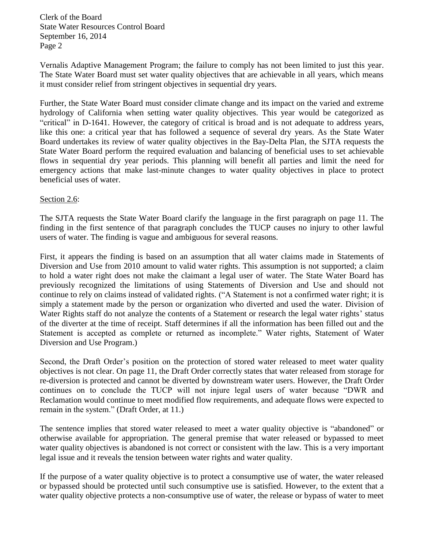Clerk of the Board State Water Resources Control Board September 16, 2014 Page 2

Vernalis Adaptive Management Program; the failure to comply has not been limited to just this year. The State Water Board must set water quality objectives that are achievable in all years, which means it must consider relief from stringent objectives in sequential dry years.

Further, the State Water Board must consider climate change and its impact on the varied and extreme hydrology of California when setting water quality objectives. This year would be categorized as "critical" in D-1641. However, the category of critical is broad and is not adequate to address years, like this one: a critical year that has followed a sequence of several dry years. As the State Water Board undertakes its review of water quality objectives in the Bay-Delta Plan, the SJTA requests the State Water Board perform the required evaluation and balancing of beneficial uses to set achievable flows in sequential dry year periods. This planning will benefit all parties and limit the need for emergency actions that make last-minute changes to water quality objectives in place to protect beneficial uses of water.

## Section 2.6:

The SJTA requests the State Water Board clarify the language in the first paragraph on page 11. The finding in the first sentence of that paragraph concludes the TUCP causes no injury to other lawful users of water. The finding is vague and ambiguous for several reasons.

First, it appears the finding is based on an assumption that all water claims made in Statements of Diversion and Use from 2010 amount to valid water rights. This assumption is not supported; a claim to hold a water right does not make the claimant a legal user of water. The State Water Board has previously recognized the limitations of using Statements of Diversion and Use and should not continue to rely on claims instead of validated rights. ("A Statement is not a confirmed water right; it is simply a statement made by the person or organization who diverted and used the water. Division of Water Rights staff do not analyze the contents of a Statement or research the legal water rights' status of the diverter at the time of receipt. Staff determines if all the information has been filled out and the Statement is accepted as complete or returned as incomplete." Water rights, Statement of Water Diversion and Use Program.)

Second, the Draft Order's position on the protection of stored water released to meet water quality objectives is not clear. On page 11, the Draft Order correctly states that water released from storage for re-diversion is protected and cannot be diverted by downstream water users. However, the Draft Order continues on to conclude the TUCP will not injure legal users of water because "DWR and Reclamation would continue to meet modified flow requirements, and adequate flows were expected to remain in the system." (Draft Order, at 11.)

The sentence implies that stored water released to meet a water quality objective is "abandoned" or otherwise available for appropriation. The general premise that water released or bypassed to meet water quality objectives is abandoned is not correct or consistent with the law. This is a very important legal issue and it reveals the tension between water rights and water quality.

If the purpose of a water quality objective is to protect a consumptive use of water, the water released or bypassed should be protected until such consumptive use is satisfied. However, to the extent that a water quality objective protects a non-consumptive use of water, the release or bypass of water to meet